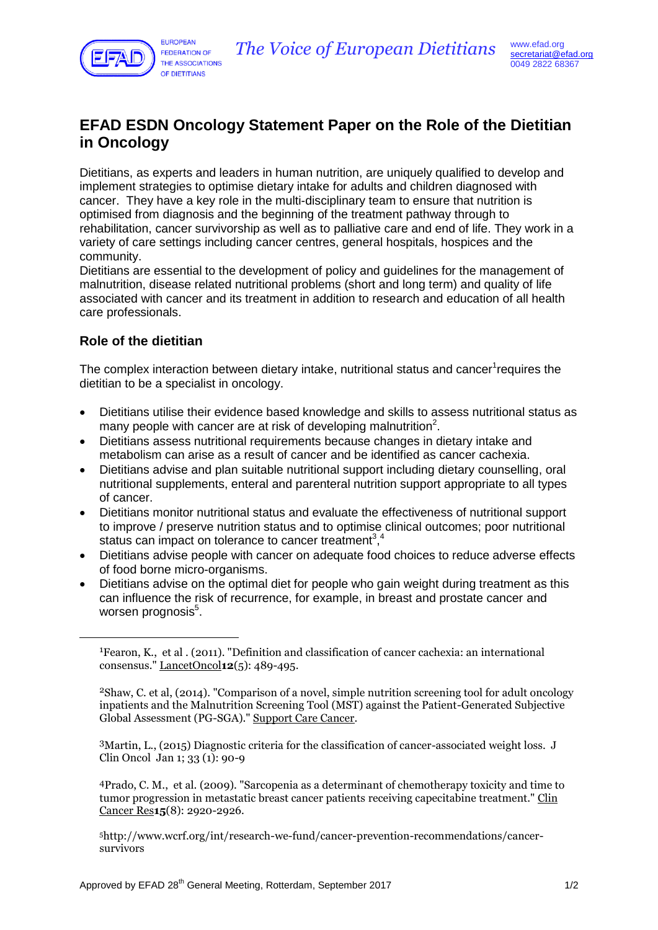

## **EFAD ESDN Oncology Statement Paper on the Role of the Dietitian in Oncology**

Dietitians, as experts and leaders in human nutrition, are uniquely qualified to develop and implement strategies to optimise dietary intake for adults and children diagnosed with cancer. They have a key role in the multi-disciplinary team to ensure that nutrition is optimised from diagnosis and the beginning of the treatment pathway through to rehabilitation, cancer survivorship as well as to palliative care and end of life. They work in a variety of care settings including cancer centres, general hospitals, hospices and the community.

Dietitians are essential to the development of policy and guidelines for the management of malnutrition, disease related nutritional problems (short and long term) and quality of life associated with cancer and its treatment in addition to research and education of all health care professionals.

## **Role of the dietitian**

<u>.</u>

The complex interaction between dietary intake, nutritional status and cancer<sup>1</sup>requires the dietitian to be a specialist in oncology.

- Dietitians utilise their evidence based knowledge and skills to assess nutritional status as many people with cancer are at risk of developing malnutrition<sup>2</sup>.
- Dietitians assess nutritional requirements because changes in dietary intake and metabolism can arise as a result of cancer and be identified as cancer cachexia.
- Dietitians advise and plan suitable nutritional support including dietary counselling, oral nutritional supplements, enteral and parenteral nutrition support appropriate to all types of cancer.
- Dietitians monitor nutritional status and evaluate the effectiveness of nutritional support to improve / preserve nutrition status and to optimise clinical outcomes; poor nutritional status can impact on tolerance to cancer treatment<sup>3</sup>,<sup>4</sup>
- Dietitians advise people with cancer on adequate food choices to reduce adverse effects of food borne micro-organisms.
- Dietitians advise on the optimal diet for people who gain weight during treatment as this can influence the risk of recurrence, for example, in breast and prostate cancer and worsen prognosis<sup>5</sup>.

3Martin, L., (2015) Diagnostic criteria for the classification of cancer-associated weight loss. J Clin Oncol Jan 1; 33 (1): 90-9

4Prado, C. M., et al. (2009). "Sarcopenia as a determinant of chemotherapy toxicity and time to tumor progression in metastatic breast cancer patients receiving capecitabine treatment." Clin Cancer Res**15**(8): 2920-2926.

5http://www.wcrf.org/int/research-we-fund/cancer-prevention-recommendations/cancersurvivors

<sup>1</sup>Fearon, K., et al . (2011). "Definition and classification of cancer cachexia: an international consensus." LancetOncol**12**(5): 489-495.

<sup>2</sup>Shaw, C. et al, (2014). "Comparison of a novel, simple nutrition screening tool for adult oncology inpatients and the Malnutrition Screening Tool (MST) against the Patient-Generated Subjective Global Assessment (PG-SGA)." Support Care Cancer.